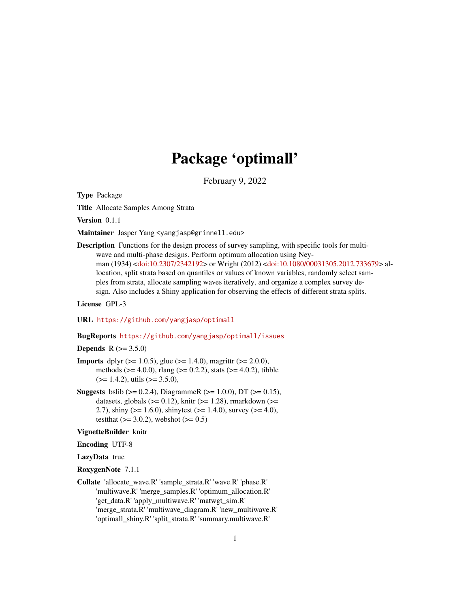# Package 'optimall'

February 9, 2022

Type Package

Title Allocate Samples Among Strata

Version 0.1.1

Maintainer Jasper Yang <yangjasp@grinnell.edu>

Description Functions for the design process of survey sampling, with specific tools for multiwave and multi-phase designs. Perform optimum allocation using Neyman (1934) [<doi:10.2307/2342192>](https://doi.org/10.2307/2342192) or Wright (2012) [<doi:10.1080/00031305.2012.733679>](https://doi.org/10.1080/00031305.2012.733679) allocation, split strata based on quantiles or values of known variables, randomly select samples from strata, allocate sampling waves iteratively, and organize a complex survey design. Also includes a Shiny application for observing the effects of different strata splits.

License GPL-3

URL <https://github.com/yangjasp/optimall>

#### BugReports <https://github.com/yangjasp/optimall/issues>

# **Depends** R  $(>= 3.5.0)$

- **Imports** dplyr ( $> = 1.0.5$ ), glue ( $> = 1.4.0$ ), magrittr ( $> = 2.0.0$ ), methods ( $>= 4.0.0$ ), rlang ( $>= 0.2.2$ ), stats ( $>= 4.0.2$ ), tibble  $(>= 1.4.2)$ , utils  $(>= 3.5.0)$ ,
- **Suggests** bslib ( $> = 0.2.4$ ), DiagrammeR ( $> = 1.0.0$ ), DT ( $> = 0.15$ ), datasets, globals ( $>= 0.12$ ), knitr ( $>= 1.28$ ), rmarkdown ( $>=$ 2.7), shiny ( $>= 1.6.0$ ), shinytest ( $>= 1.4.0$ ), survey ( $>= 4.0$ ), testthat  $(>= 3.0.2)$ , webshot  $(>= 0.5)$

#### VignetteBuilder knitr

Encoding UTF-8

LazyData true

RoxygenNote 7.1.1

Collate 'allocate\_wave.R' 'sample\_strata.R' 'wave.R' 'phase.R' 'multiwave.R' 'merge\_samples.R' 'optimum\_allocation.R' 'get\_data.R' 'apply\_multiwave.R' 'matwgt\_sim.R' 'merge\_strata.R' 'multiwave\_diagram.R' 'new\_multiwave.R' 'optimall\_shiny.R' 'split\_strata.R' 'summary.multiwave.R'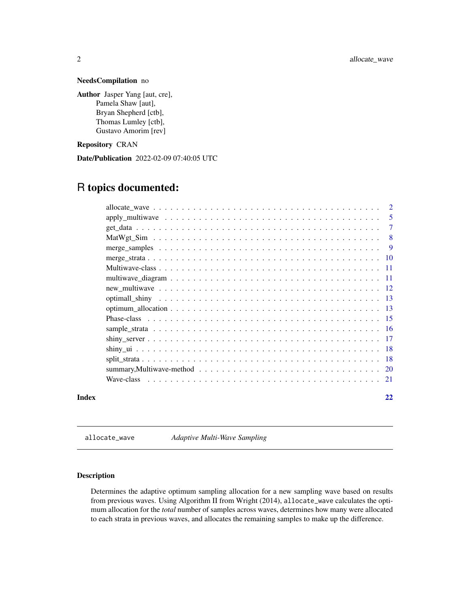# <span id="page-1-0"></span>NeedsCompilation no

Author Jasper Yang [aut, cre], Pamela Shaw [aut], Bryan Shepherd [ctb], Thomas Lumley [ctb], Gustavo Amorim [rev]

# Repository CRAN

Date/Publication 2022-02-09 07:40:05 UTC

# R topics documented:

|       | $apply\_multiwave \dots \dots \dots \dots \dots \dots \dots \dots \dots \dots \dots \dots \dots \dots$ | -5     |
|-------|--------------------------------------------------------------------------------------------------------|--------|
|       |                                                                                                        | $\tau$ |
|       |                                                                                                        | -8     |
|       |                                                                                                        |        |
|       |                                                                                                        |        |
|       |                                                                                                        |        |
|       |                                                                                                        |        |
|       |                                                                                                        |        |
|       |                                                                                                        |        |
|       |                                                                                                        |        |
|       |                                                                                                        |        |
|       |                                                                                                        |        |
|       |                                                                                                        |        |
|       |                                                                                                        |        |
|       |                                                                                                        |        |
|       |                                                                                                        |        |
|       |                                                                                                        |        |
| Index |                                                                                                        | 22     |

allocate\_wave *Adaptive Multi-Wave Sampling*

# Description

Determines the adaptive optimum sampling allocation for a new sampling wave based on results from previous waves. Using Algorithm II from Wright (2014), allocate\_wave calculates the optimum allocation for the *total* number of samples across waves, determines how many were allocated to each strata in previous waves, and allocates the remaining samples to make up the difference.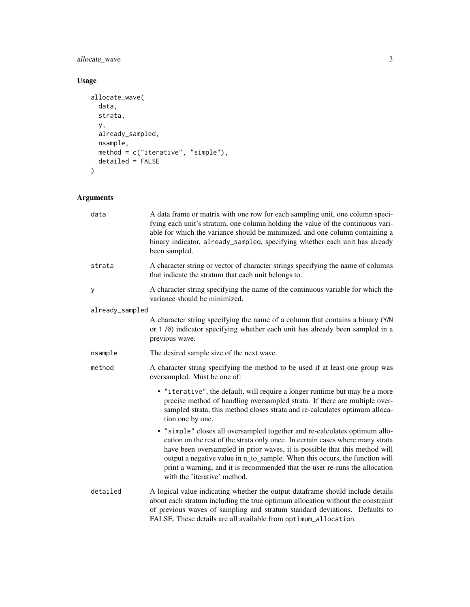# allocate\_wave 3

# Usage

```
allocate_wave(
  data,
  strata,
  y,
  already_sampled,
  nsample,
  method = c("iterative", "simple"),
  detailed = FALSE
\mathcal{L}
```

| data            | A data frame or matrix with one row for each sampling unit, one column speci-<br>fying each unit's stratum, one column holding the value of the continuous vari-<br>able for which the variance should be minimized, and one column containing a<br>binary indicator, already_sampled, specifying whether each unit has already<br>been sampled.                                                                                         |
|-----------------|------------------------------------------------------------------------------------------------------------------------------------------------------------------------------------------------------------------------------------------------------------------------------------------------------------------------------------------------------------------------------------------------------------------------------------------|
| strata          | A character string or vector of character strings specifying the name of columns<br>that indicate the stratum that each unit belongs to.                                                                                                                                                                                                                                                                                                 |
| у               | A character string specifying the name of the continuous variable for which the<br>variance should be minimized.                                                                                                                                                                                                                                                                                                                         |
| already_sampled |                                                                                                                                                                                                                                                                                                                                                                                                                                          |
|                 | A character string specifying the name of a column that contains a binary (Y/N)<br>or 1 /0) indicator specifying whether each unit has already been sampled in a<br>previous wave.                                                                                                                                                                                                                                                       |
| nsample         | The desired sample size of the next wave.                                                                                                                                                                                                                                                                                                                                                                                                |
| method          | A character string specifying the method to be used if at least one group was<br>oversampled. Must be one of:                                                                                                                                                                                                                                                                                                                            |
|                 | • "iterative", the default, will require a longer runtime but may be a more<br>precise method of handling oversampled strata. If there are multiple over-<br>sampled strata, this method closes strata and re-calculates optimum alloca-<br>tion one by one.                                                                                                                                                                             |
|                 | • "simple" closes all oversampled together and re-calculates optimum allo-<br>cation on the rest of the strata only once. In certain cases where many strata<br>have been oversampled in prior waves, it is possible that this method will<br>output a negative value in n_to_sample. When this occurs, the function will<br>print a warning, and it is recommended that the user re-runs the allocation<br>with the 'iterative' method. |
| detailed        | A logical value indicating whether the output dataframe should include details<br>about each stratum including the true optimum allocation without the constraint<br>of previous waves of sampling and stratum standard deviations. Defaults to<br>FALSE. These details are all available from optimum_allocation.                                                                                                                       |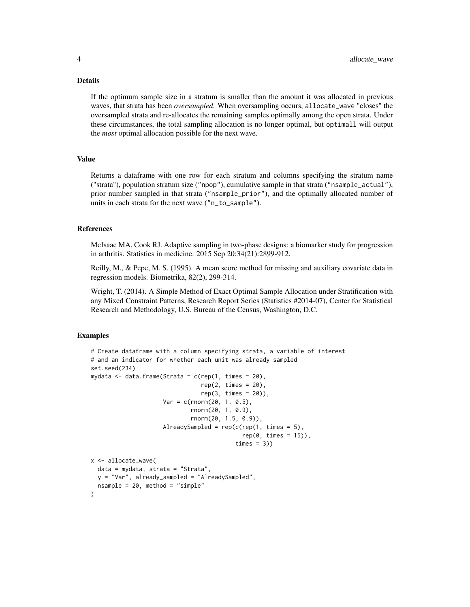#### Details

If the optimum sample size in a stratum is smaller than the amount it was allocated in previous waves, that strata has been *oversampled*. When oversampling occurs, allocate\_wave "closes" the oversampled strata and re-allocates the remaining samples optimally among the open strata. Under these circumstances, the total sampling allocation is no longer optimal, but optimall will output the *most* optimal allocation possible for the next wave.

#### Value

Returns a dataframe with one row for each stratum and columns specifying the stratum name ("strata"), population stratum size ("npop"), cumulative sample in that strata ("nsample\_actual"), prior number sampled in that strata ("nsample\_prior"), and the optimally allocated number of units in each strata for the next wave ("n\_to\_sample").

#### References

McIsaac MA, Cook RJ. Adaptive sampling in two-phase designs: a biomarker study for progression in arthritis. Statistics in medicine. 2015 Sep 20;34(21):2899-912.

Reilly, M., & Pepe, M. S. (1995). A mean score method for missing and auxiliary covariate data in regression models. Biometrika, 82(2), 299-314.

Wright, T. (2014). A Simple Method of Exact Optimal Sample Allocation under Stratification with any Mixed Constraint Patterns, Research Report Series (Statistics #2014-07), Center for Statistical Research and Methodology, U.S. Bureau of the Census, Washington, D.C.

#### Examples

 $\lambda$ 

```
# Create dataframe with a column specifying strata, a variable of interest
# and an indicator for whether each unit was already sampled
set.seed(234)
mydata \leq data.frame(Strata = c(rep(1, times = 20),
                                rep(2, times = 20),
                                rep(3, times = 20),
                     Var = c(rnorm(20, 1, 0.5),
                             rnorm(20, 1, 0.9),
                             rnorm(20, 1.5, 0.9)),
                     AlreadySampled = rep(c(rep(1, times = 5)),rep(0, times = 15),
                                          times = 3))
x <- allocate_wave(
 data = mydata, strata = "Strata",
 y = "Var", already_sampled = "AlreadySampled",
 nsample = 20, method = "simple"
```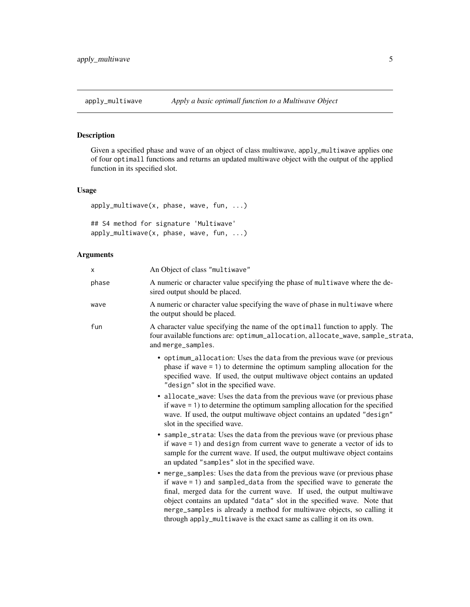<span id="page-4-0"></span>

Given a specified phase and wave of an object of class multiwave, apply\_multiwave applies one of four optimall functions and returns an updated multiwave object with the output of the applied function in its specified slot.

# Usage

```
apply_multiwave(x, phase, wave, fun, ...)
## S4 method for signature 'Multiwave'
apply_multiwave(x, phase, wave, fun, ...)
```

| X     | An Object of class "multiwave"                                                                                                                                                                                                                                                                                                                                                                                                                             |
|-------|------------------------------------------------------------------------------------------------------------------------------------------------------------------------------------------------------------------------------------------------------------------------------------------------------------------------------------------------------------------------------------------------------------------------------------------------------------|
| phase | A numeric or character value specifying the phase of multiwave where the de-<br>sired output should be placed.                                                                                                                                                                                                                                                                                                                                             |
| wave  | A numeric or character value specifying the wave of phase in multiwave where<br>the output should be placed.                                                                                                                                                                                                                                                                                                                                               |
| fun   | A character value specifying the name of the optimall function to apply. The<br>four available functions are: optimum_allocation, allocate_wave, sample_strata,<br>and merge_samples.                                                                                                                                                                                                                                                                      |
|       | • optimum_allocation: Uses the data from the previous wave (or previous<br>phase if wave $= 1$ ) to determine the optimum sampling allocation for the<br>specified wave. If used, the output multiwave object contains an updated<br>"design" slot in the specified wave.                                                                                                                                                                                  |
|       | • allocate_wave: Uses the data from the previous wave (or previous phase<br>if wave $= 1$ ) to determine the optimum sampling allocation for the specified<br>wave. If used, the output multiwave object contains an updated "design"<br>slot in the specified wave.                                                                                                                                                                                       |
|       | • sample_strata: Uses the data from the previous wave (or previous phase<br>if wave $= 1$ ) and design from current wave to generate a vector of ids to<br>sample for the current wave. If used, the output multiwave object contains<br>an updated "samples" slot in the specified wave.                                                                                                                                                                  |
|       | • merge_samples: Uses the data from the previous wave (or previous phase<br>if wave $= 1$ ) and sampled_data from the specified wave to generate the<br>final, merged data for the current wave. If used, the output multiwave<br>object contains an updated "data" slot in the specified wave. Note that<br>merge_samples is already a method for multiwave objects, so calling it<br>through apply_multiwave is the exact same as calling it on its own. |
|       |                                                                                                                                                                                                                                                                                                                                                                                                                                                            |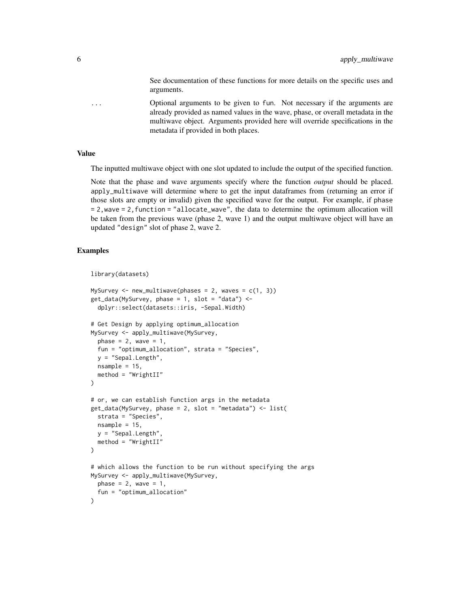See documentation of these functions for more details on the specific uses and arguments.

... Optional arguments to be given to fun. Not necessary if the arguments are already provided as named values in the wave, phase, or overall metadata in the multiwave object. Arguments provided here will override specifications in the metadata if provided in both places.

#### Value

The inputted multiwave object with one slot updated to include the output of the specified function.

Note that the phase and wave arguments specify where the function *output* should be placed. apply\_multiwave will determine where to get the input dataframes from (returning an error if those slots are empty or invalid) given the specified wave for the output. For example, if phase = 2,wave = 2,function = "allocate\_wave", the data to determine the optimum allocation will be taken from the previous wave (phase 2, wave 1) and the output multiwave object will have an updated "design" slot of phase 2, wave 2.

```
library(datasets)
```

```
MySurvey \leq new_multiwave(phases = 2, waves = c(1, 3))
get_data(MySurvey, phase = 1, slot = "data") < -dplyr::select(datasets::iris, -Sepal.Width)
# Get Design by applying optimum_allocation
MySurvey <- apply_multiwave(MySurvey,
  phase = 2, wave = 1,
  fun = "optimum_allocation", strata = "Species",
  y = "Sepal.Length",
  nsample = 15,
  method = "WrightII"
\mathcal{L}# or, we can establish function args in the metadata
get_data(MySurvey, phase = 2, slot = "metadata") <- list(
  strata = "Species",
  nsample = 15,
  y = "Sepal.Length",
  method = "WrightII"
)
# which allows the function to be run without specifying the args
MySurvey <- apply_multiwave(MySurvey,
  phase = 2, wave = 1,
  fun = "optimum_allocation"
)
```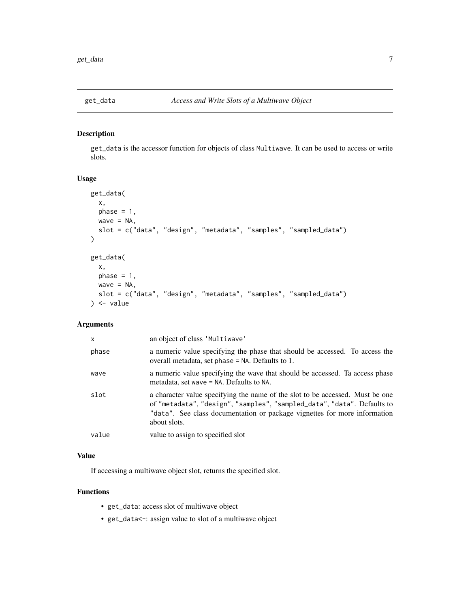<span id="page-6-0"></span>

get\_data is the accessor function for objects of class Multiwave. It can be used to access or write slots.

# Usage

```
get_data(
 x,
 phase = 1,
 wave = NA,
 slot = c("data", "design", "metadata", "samples", "sampled_data")
)
get_data(
  x,
 phase = 1,
 wave = NA,
  slot = c("data", "design", "metadata", "samples", "sampled_data")
) <- value
```
# Arguments

| $\mathsf{x}$ | an object of class 'Multiwave'                                                                                                                                                                                                                        |
|--------------|-------------------------------------------------------------------------------------------------------------------------------------------------------------------------------------------------------------------------------------------------------|
| phase        | a numeric value specifying the phase that should be accessed. To access the<br>overall metadata, set phase $=$ NA. Defaults to 1.                                                                                                                     |
| wave         | a numeric value specifying the wave that should be accessed. Ta access phase<br>metadata, set wave $=$ NA. Defaults to NA.                                                                                                                            |
| slot         | a character value specifying the name of the slot to be accessed. Must be one<br>of "metadata", "design", "samples", "sampled_data", "data". Defaults to<br>"data". See class documentation or package vignettes for more information<br>about slots. |
| value        | value to assign to specified slot                                                                                                                                                                                                                     |

# Value

If accessing a multiwave object slot, returns the specified slot.

# Functions

- get\_data: access slot of multiwave object
- get\_data<-: assign value to slot of a multiwave object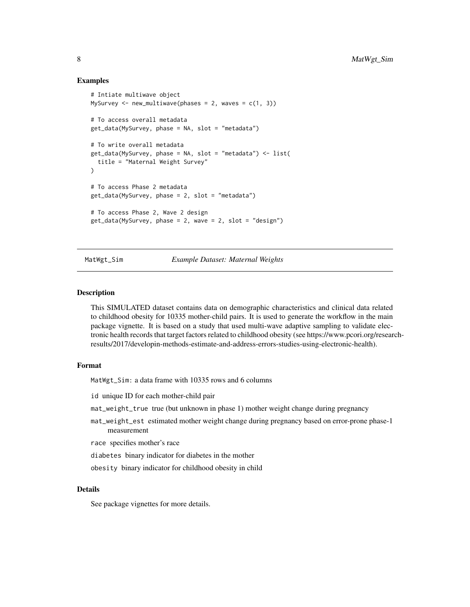#### Examples

```
# Intiate multiwave object
MySurvey \leq new_multiwave(phases = 2, waves = c(1, 3))
# To access overall metadata
get_data(MySurvey, phase = NA, slot = "metadata")
# To write overall metadata
get_data(MySurvey, phase = NA, slot = "metadata") <- list(
  title = "Maternal Weight Survey"
\lambda# To access Phase 2 metadata
get_data(MySurvey, phase = 2, slot = "metadata")
# To access Phase 2, Wave 2 design
get_data(MySurvey, phase = 2, wave = 2, slot = "design")
```
#### MatWgt\_Sim *Example Dataset: Maternal Weights*

#### Description

This SIMULATED dataset contains data on demographic characteristics and clinical data related to childhood obesity for 10335 mother-child pairs. It is used to generate the workflow in the main package vignette. It is based on a study that used multi-wave adaptive sampling to validate electronic health records that target factors related to childhood obesity (see https://www.pcori.org/researchresults/2017/developin-methods-estimate-and-address-errors-studies-using-electronic-health).

#### Format

MatWgt\_Sim: a data frame with 10335 rows and 6 columns

id unique ID for each mother-child pair

mat\_weight\_true true (but unknown in phase 1) mother weight change during pregnancy

mat\_weight\_est estimated mother weight change during pregnancy based on error-prone phase-1 measurement

race specifies mother's race

diabetes binary indicator for diabetes in the mother

obesity binary indicator for childhood obesity in child

#### Details

See package vignettes for more details.

<span id="page-7-0"></span>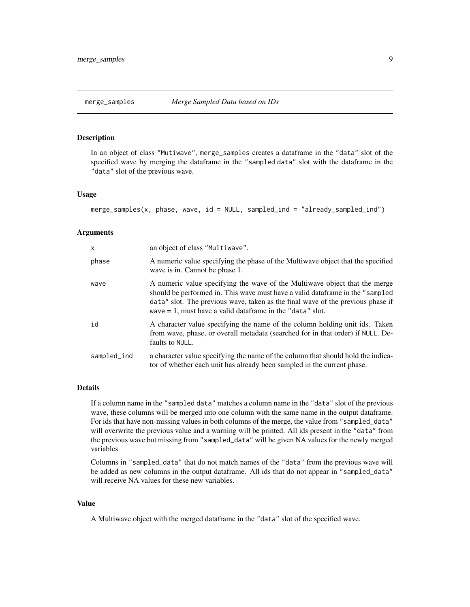<span id="page-8-0"></span>In an object of class "Mutiwave", merge\_samples creates a dataframe in the "data" slot of the specified wave by merging the dataframe in the "sampled data" slot with the dataframe in the "data" slot of the previous wave.

#### Usage

```
merge_samples(x, phase, wave, id = NULL, sampled_ind = "already_sampled_ind")
```
#### Arguments

| $\mathsf{x}$ | an object of class "Multiwave".                                                                                                                                                                                                                                                                                  |
|--------------|------------------------------------------------------------------------------------------------------------------------------------------------------------------------------------------------------------------------------------------------------------------------------------------------------------------|
| phase        | A numeric value specifying the phase of the Multiwave object that the specified<br>wave is in. Cannot be phase 1.                                                                                                                                                                                                |
| wave         | A numeric value specifying the wave of the Multiwave object that the merge<br>should be performed in. This wave must have a valid data frame in the "sampled"<br>data" slot. The previous wave, taken as the final wave of the previous phase if<br>wave $= 1$ , must have a valid dataframe in the "data" slot. |
| id           | A character value specifying the name of the column holding unit ids. Taken<br>from wave, phase, or overall metadata (searched for in that order) if NULL. De-<br>faults to NULL.                                                                                                                                |
| sampled_ind  | a character value specifying the name of the column that should hold the indica-<br>tor of whether each unit has already been sampled in the current phase.                                                                                                                                                      |

#### Details

If a column name in the "sampled data" matches a column name in the "data" slot of the previous wave, these columns will be merged into one column with the same name in the output dataframe. For ids that have non-missing values in both columns of the merge, the value from "sampled\_data" will overwrite the previous value and a warning will be printed. All ids present in the "data" from the previous wave but missing from "sampled\_data" will be given NA values for the newly merged variables

Columns in "sampled\_data" that do not match names of the "data" from the previous wave will be added as new columns in the output dataframe. All ids that do not appear in "sampled\_data" will receive NA values for these new variables.

#### Value

A Multiwave object with the merged dataframe in the "data" slot of the specified wave.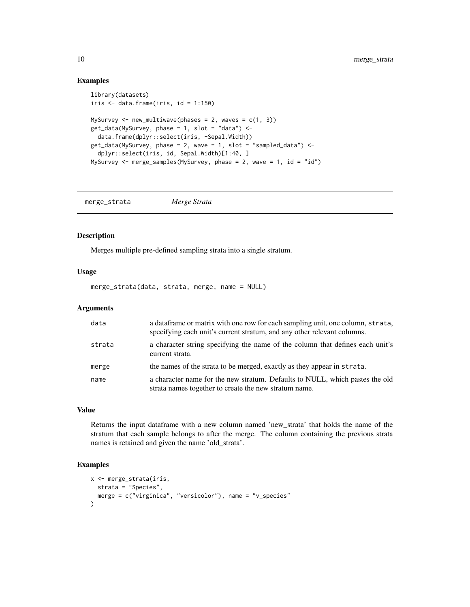#### Examples

```
library(datasets)
iris \leq data.frame(iris, id = 1:150)
MySurvey \leq new_multiwave(phases = 2, waves = c(1, 3))
get_data(MySurvey, phase = 1, slot = "data") < -data.frame(dplyr::select(iris, -Sepal.Width))
get_data(MySurvey, phase = 2, wave = 1, slot = "sampled_data") <-
  dplyr::select(iris, id, Sepal.Width)[1:40, ]
MySurvey \leq merge_samples(MySurvey, phase = 2, wave = 1, id = "id")
```
merge\_strata *Merge Strata*

# Description

Merges multiple pre-defined sampling strata into a single stratum.

#### Usage

merge\_strata(data, strata, merge, name = NULL)

### Arguments

| data   | a data frame or matrix with one row for each sampling unit, one column, strata,<br>specifying each unit's current stratum, and any other relevant columns. |
|--------|------------------------------------------------------------------------------------------------------------------------------------------------------------|
| strata | a character string specifying the name of the column that defines each unit's<br>current strata.                                                           |
| merge  | the names of the strata to be merged, exactly as they appear in strata.                                                                                    |
| name   | a character name for the new stratum. Defaults to NULL, which pastes the old<br>strata names together to create the new stratum name.                      |

# Value

Returns the input dataframe with a new column named 'new\_strata' that holds the name of the stratum that each sample belongs to after the merge. The column containing the previous strata names is retained and given the name 'old\_strata'.

```
x <- merge_strata(iris,
 strata = "Species",
  merge = c("virginica", "versicolor"), name = "v_species"
)
```
<span id="page-9-0"></span>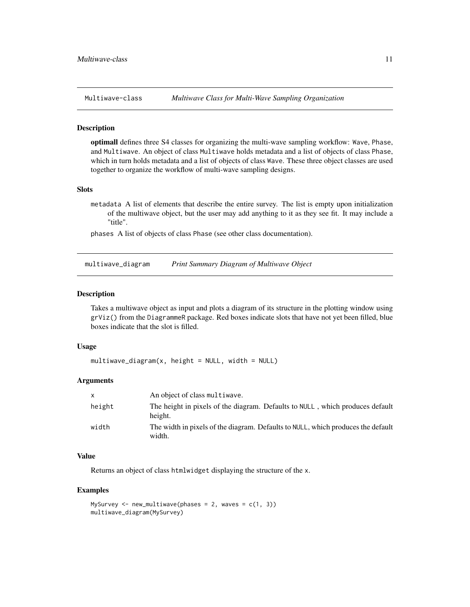<span id="page-10-0"></span>

optimall defines three S4 classes for organizing the multi-wave sampling workflow: Wave, Phase, and Multiwave. An object of class Multiwave holds metadata and a list of objects of class Phase, which in turn holds metadata and a list of objects of class Wave. These three object classes are used together to organize the workflow of multi-wave sampling designs.

#### **Slots**

metadata A list of elements that describe the entire survey. The list is empty upon initialization of the multiwave object, but the user may add anything to it as they see fit. It may include a "title".

phases A list of objects of class Phase (see other class documentation).

multiwave\_diagram *Print Summary Diagram of Multiwave Object*

#### Description

Takes a multiwave object as input and plots a diagram of its structure in the plotting window using grViz() from the DiagrammeR package. Red boxes indicate slots that have not yet been filled, blue boxes indicate that the slot is filled.

#### Usage

```
multipulative\_diagram(x, height = NULL, width = NULL)
```
#### Arguments

| $\mathsf{x}$ | An object of class multiwave.                                                              |
|--------------|--------------------------------------------------------------------------------------------|
| height       | The height in pixels of the diagram. Defaults to NULL, which produces default<br>height.   |
| width        | The width in pixels of the diagram. Defaults to NULL, which produces the default<br>width. |

# Value

Returns an object of class htmlwidget displaying the structure of the x.

```
MySurvey \leq new_multiwave(phases = 2, waves = c(1, 3))
multiwave_diagram(MySurvey)
```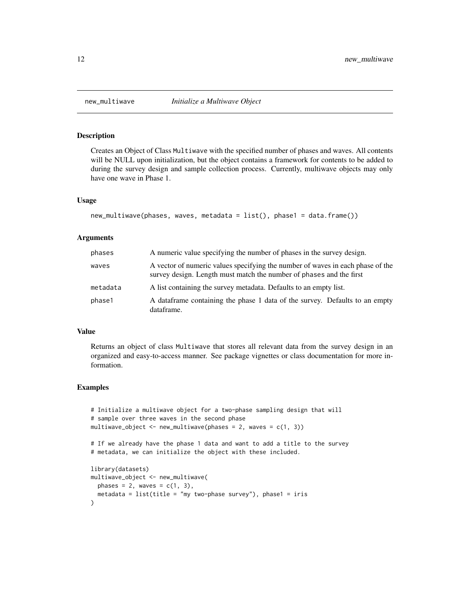<span id="page-11-0"></span>

Creates an Object of Class Multiwave with the specified number of phases and waves. All contents will be NULL upon initialization, but the object contains a framework for contents to be added to during the survey design and sample collection process. Currently, multiwave objects may only have one wave in Phase 1.

#### Usage

```
new_multiwave(phases, waves, metadata = list(), phase1 = data.frame())
```
#### Arguments

| phases   | A numeric value specifying the number of phases in the survey design.                                                                                 |
|----------|-------------------------------------------------------------------------------------------------------------------------------------------------------|
| waves    | A vector of numeric values specifying the number of waves in each phase of the<br>survey design. Length must match the number of phases and the first |
| metadata | A list containing the survey metadata. Defaults to an empty list.                                                                                     |
| phase1   | A data frame containing the phase 1 data of the survey. Defaults to an empty<br>dataframe.                                                            |

#### Value

Returns an object of class Multiwave that stores all relevant data from the survey design in an organized and easy-to-access manner. See package vignettes or class documentation for more information.

```
# Initialize a multiwave object for a two-phase sampling design that will
# sample over three waves in the second phase
multiwave_object <- new_multiwave(phases = 2, waves = c(1, 3))
# If we already have the phase 1 data and want to add a title to the survey
# metadata, we can initialize the object with these included.
library(datasets)
multiwave_object <- new_multiwave(
  phases = 2, waves = c(1, 3),
  metadata = list(title = "my two-phase survey"), phase1 = iris)
```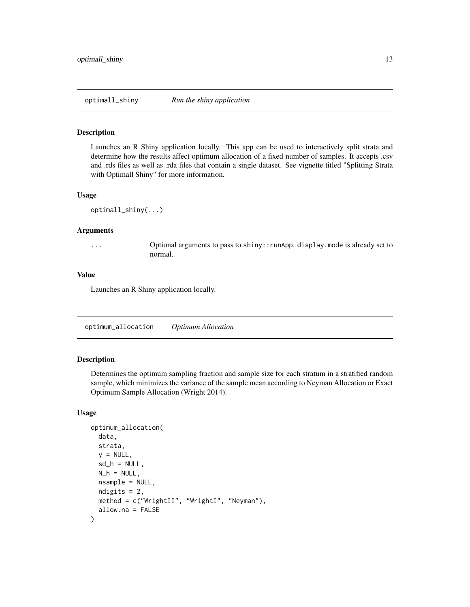<span id="page-12-0"></span>

Launches an R Shiny application locally. This app can be used to interactively split strata and determine how the results affect optimum allocation of a fixed number of samples. It accepts .csv and .rds files as well as .rda files that contain a single dataset. See vignette titled "Splitting Strata with Optimall Shiny" for more information.

#### Usage

```
optimall_shiny(...)
```
#### Arguments

... Optional arguments to pass to shiny::runApp. display.mode is already set to normal.

#### Value

Launches an R Shiny application locally.

optimum\_allocation *Optimum Allocation*

#### Description

Determines the optimum sampling fraction and sample size for each stratum in a stratified random sample, which minimizes the variance of the sample mean according to Neyman Allocation or Exact Optimum Sample Allocation (Wright 2014).

## Usage

```
optimum_allocation(
  data,
  strata,
  y = NULL,sd_h = NULL,N_h = NULL,
  nsample = NULL,
  ndigits = 2,
  method = c("WrightII", "WrightI", "Neyman"),
  allow.na = FALSE
)
```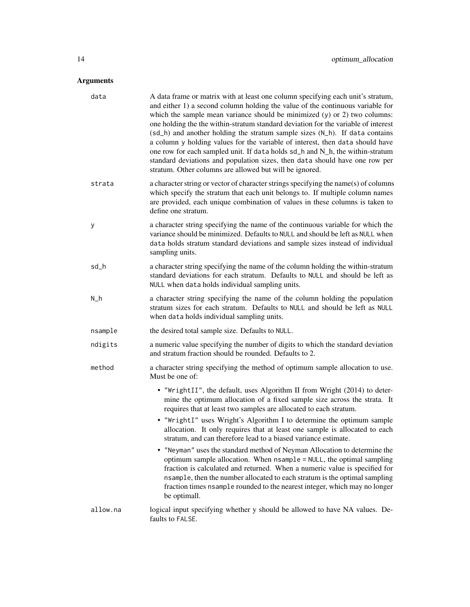| data     | A data frame or matrix with at least one column specifying each unit's stratum,<br>and either 1) a second column holding the value of the continuous variable for<br>which the sample mean variance should be minimized $(y)$ or 2) two columns:<br>one holding the the within-stratum standard deviation for the variable of interest<br>(sd_h) and another holding the stratum sample sizes (N_h). If data contains<br>a column y holding values for the variable of interest, then data should have<br>one row for each sampled unit. If data holds sd_h and N_h, the within-stratum<br>standard deviations and population sizes, then data should have one row per<br>stratum. Other columns are allowed but will be ignored. |
|----------|-----------------------------------------------------------------------------------------------------------------------------------------------------------------------------------------------------------------------------------------------------------------------------------------------------------------------------------------------------------------------------------------------------------------------------------------------------------------------------------------------------------------------------------------------------------------------------------------------------------------------------------------------------------------------------------------------------------------------------------|
| strata   | a character string or vector of character strings specifying the name(s) of columns<br>which specify the stratum that each unit belongs to. If multiple column names<br>are provided, each unique combination of values in these columns is taken to<br>define one stratum.                                                                                                                                                                                                                                                                                                                                                                                                                                                       |
| у        | a character string specifying the name of the continuous variable for which the<br>variance should be minimized. Defaults to NULL and should be left as NULL when<br>data holds stratum standard deviations and sample sizes instead of individual<br>sampling units.                                                                                                                                                                                                                                                                                                                                                                                                                                                             |
| sd_h     | a character string specifying the name of the column holding the within-stratum<br>standard deviations for each stratum. Defaults to NULL and should be left as<br>NULL when data holds individual sampling units.                                                                                                                                                                                                                                                                                                                                                                                                                                                                                                                |
| $N_h$    | a character string specifying the name of the column holding the population<br>stratum sizes for each stratum. Defaults to NULL and should be left as NULL<br>when data holds individual sampling units.                                                                                                                                                                                                                                                                                                                                                                                                                                                                                                                          |
| nsample  | the desired total sample size. Defaults to NULL.                                                                                                                                                                                                                                                                                                                                                                                                                                                                                                                                                                                                                                                                                  |
| ndigits  | a numeric value specifying the number of digits to which the standard deviation<br>and stratum fraction should be rounded. Defaults to 2.                                                                                                                                                                                                                                                                                                                                                                                                                                                                                                                                                                                         |
| method   | a character string specifying the method of optimum sample allocation to use.<br>Must be one of:                                                                                                                                                                                                                                                                                                                                                                                                                                                                                                                                                                                                                                  |
|          | . "WrightII", the default, uses Algorithm II from Wright (2014) to deter-<br>mine the optimum allocation of a fixed sample size across the strata. It<br>requires that at least two samples are allocated to each stratum.                                                                                                                                                                                                                                                                                                                                                                                                                                                                                                        |
|          | • "WrightI" uses Wright's Algorithm I to determine the optimum sample<br>allocation. It only requires that at least one sample is allocated to each<br>stratum, and can therefore lead to a biased variance estimate.                                                                                                                                                                                                                                                                                                                                                                                                                                                                                                             |
|          | • "Neyman" uses the standard method of Neyman Allocation to determine the<br>optimum sample allocation. When nsample = NULL, the optimal sampling<br>fraction is calculated and returned. When a numeric value is specified for<br>nsample, then the number allocated to each stratum is the optimal sampling<br>fraction times nsample rounded to the nearest integer, which may no longer<br>be optimall.                                                                                                                                                                                                                                                                                                                       |
| allow.na | logical input specifying whether y should be allowed to have NA values. De-<br>faults to FALSE.                                                                                                                                                                                                                                                                                                                                                                                                                                                                                                                                                                                                                                   |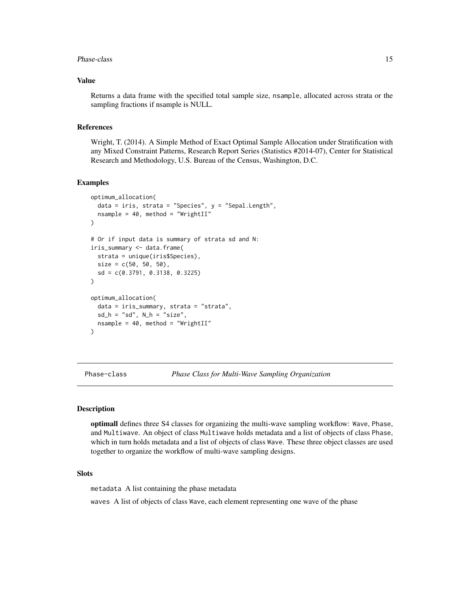#### <span id="page-14-0"></span>Phase-class 15

### Value

Returns a data frame with the specified total sample size, nsample, allocated across strata or the sampling fractions if nsample is NULL.

#### References

Wright, T. (2014). A Simple Method of Exact Optimal Sample Allocation under Stratification with any Mixed Constraint Patterns, Research Report Series (Statistics #2014-07), Center for Statistical Research and Methodology, U.S. Bureau of the Census, Washington, D.C.

#### Examples

```
optimum_allocation(
  data = iris, strata = "Species", y = "Sepal.Length",
  nsample = 40, method = "WrightII"
)
# Or if input data is summary of strata sd and N:
iris_summary <- data.frame(
  strata = unique(iris$Species),
  size = c(50, 50, 50),
  sd = c(0.3791, 0.3138, 0.3225)
)
optimum_allocation(
  data = iris_summary, strata = "strata",
  sd_h = "sd", N_h = "size",nsample = 40, method = "WrightII"
)
```
Phase-class *Phase Class for Multi-Wave Sampling Organization*

#### Description

optimall defines three S4 classes for organizing the multi-wave sampling workflow: Wave, Phase, and Multiwave. An object of class Multiwave holds metadata and a list of objects of class Phase, which in turn holds metadata and a list of objects of class Wave. These three object classes are used together to organize the workflow of multi-wave sampling designs.

#### **Slots**

metadata A list containing the phase metadata

waves A list of objects of class Wave, each element representing one wave of the phase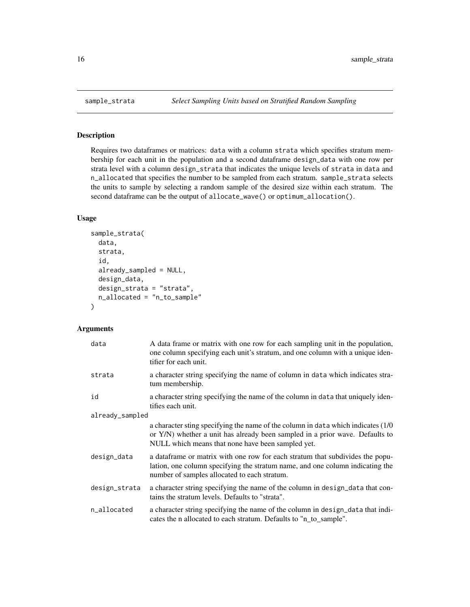Requires two dataframes or matrices: data with a column strata which specifies stratum membership for each unit in the population and a second dataframe design\_data with one row per strata level with a column design\_strata that indicates the unique levels of strata in data and n\_allocated that specifies the number to be sampled from each stratum. sample\_strata selects the units to sample by selecting a random sample of the desired size within each stratum. The second dataframe can be the output of allocate\_wave() or optimum\_allocation().

# Usage

```
sample_strata(
  data,
  strata,
  id,
  already_sampled = NULL,
  design_data,
  design_strata = "strata",
 n_allocated = "n_to_sample"
)
```

| data            | A data frame or matrix with one row for each sampling unit in the population,<br>one column specifying each unit's stratum, and one column with a unique iden-<br>tifier for each unit.                                |  |
|-----------------|------------------------------------------------------------------------------------------------------------------------------------------------------------------------------------------------------------------------|--|
| strata          | a character string specifying the name of column in data which indicates stra-<br>tum membership.                                                                                                                      |  |
| id              | a character string specifying the name of the column in data that uniquely iden-<br>tifies each unit.                                                                                                                  |  |
| already_sampled |                                                                                                                                                                                                                        |  |
|                 | a character sting specifying the name of the column in data which indicates (1/0)<br>or Y/N) whether a unit has already been sampled in a prior wave. Defaults to<br>NULL which means that none have been sampled yet. |  |
| design_data     | a data frame or matrix with one row for each stratum that subdivides the popu-<br>lation, one column specifying the stratum name, and one column indicating the<br>number of samples allocated to each stratum.        |  |
| design_strata   | a character string specifying the name of the column in design_data that con-<br>tains the stratum levels. Defaults to "strata".                                                                                       |  |
| n_allocated     | a character string specifying the name of the column in design_data that indi-<br>cates the n allocated to each stratum. Defaults to "n_to_sample".                                                                    |  |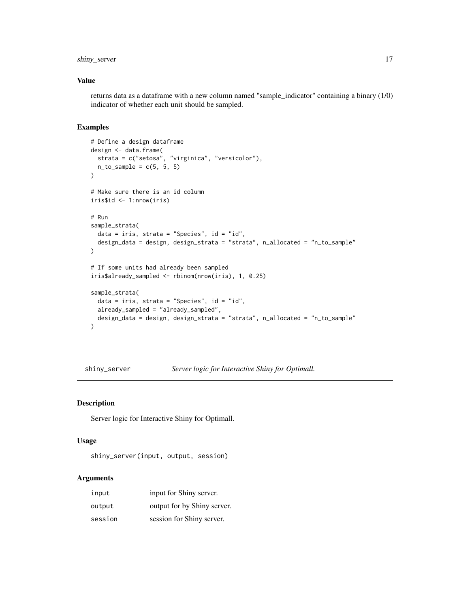# <span id="page-16-0"></span>shiny\_server 17

#### Value

returns data as a dataframe with a new column named "sample\_indicator" containing a binary (1/0) indicator of whether each unit should be sampled.

# Examples

```
# Define a design dataframe
design <- data.frame(
  strata = c("setosa", "virginica", "versicolor"),
  n_to_sample = c(5, 5, 5)\mathcal{L}# Make sure there is an id column
iris$id <- 1:nrow(iris)
# Run
sample_strata(
  data = iris, strata = "Species", id = "id",
  design_data = design, design_strata = "strata", n_allocated = "n_to_sample"
)
# If some units had already been sampled
iris$already_sampled <- rbinom(nrow(iris), 1, 0.25)
sample_strata(
 data = iris, strata = "Species", id = "id",
  already_sampled = "already_sampled",
  design_data = design, design_strata = "strata", n_allocated = "n_to_sample"
)
```
shiny\_server *Server logic for Interactive Shiny for Optimall.*

#### Description

Server logic for Interactive Shiny for Optimall.

#### Usage

shiny\_server(input, output, session)

| input   | input for Shiny server.     |
|---------|-----------------------------|
| output  | output for by Shiny server. |
| session | session for Shiny server.   |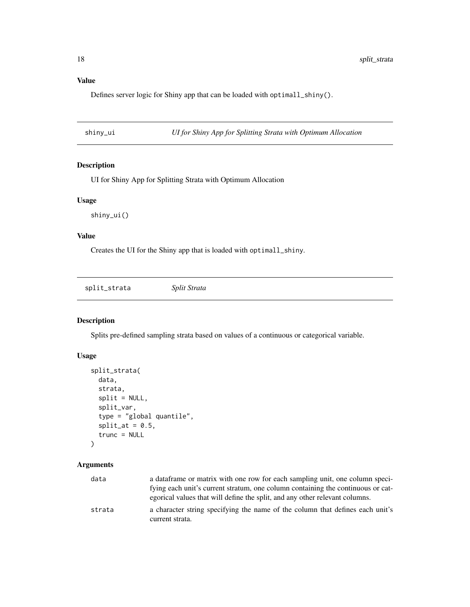Defines server logic for Shiny app that can be loaded with optimall\_shiny().

shiny\_ui *UI for Shiny App for Splitting Strata with Optimum Allocation*

# Description

UI for Shiny App for Splitting Strata with Optimum Allocation

# Usage

shiny\_ui()

# Value

Creates the UI for the Shiny app that is loaded with optimall\_shiny.

split\_strata *Split Strata*

# Description

Splits pre-defined sampling strata based on values of a continuous or categorical variable.

#### Usage

```
split_strata(
  data,
  strata,
  split = NULL,split_var,
  type = "global quantile",
  split_at = 0.5,trunc = NULL
\mathcal{L}
```

| data   | a data frame or matrix with one row for each sampling unit, one column speci-   |
|--------|---------------------------------------------------------------------------------|
|        | fying each unit's current stratum, one column containing the continuous or cat- |
|        | egorical values that will define the split, and any other relevant columns.     |
| strata | a character string specifying the name of the column that defines each unit's   |
|        | current strata.                                                                 |

<span id="page-17-0"></span>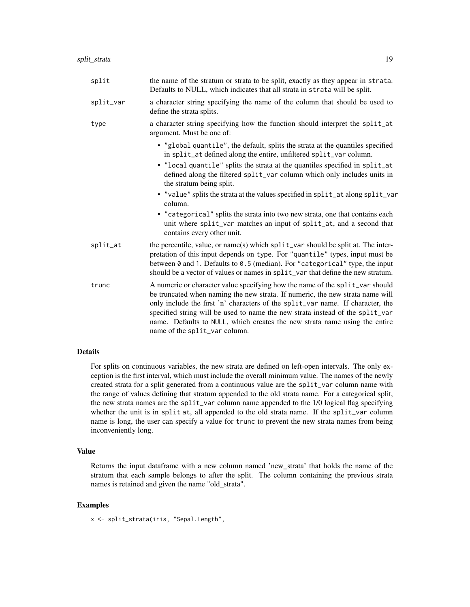| split     | the name of the stratum or strata to be split, exactly as they appear in strata.<br>Defaults to NULL, which indicates that all strata in strata will be split.                                                                                                                                                                                                                                                                                  |
|-----------|-------------------------------------------------------------------------------------------------------------------------------------------------------------------------------------------------------------------------------------------------------------------------------------------------------------------------------------------------------------------------------------------------------------------------------------------------|
| split_var | a character string specifying the name of the column that should be used to<br>define the strata splits.                                                                                                                                                                                                                                                                                                                                        |
| type      | a character string specifying how the function should interpret the split_at<br>argument. Must be one of:                                                                                                                                                                                                                                                                                                                                       |
|           | • "global quantile", the default, splits the strata at the quantiles specified<br>in split_at defined along the entire, unfiltered split_var column.                                                                                                                                                                                                                                                                                            |
|           | • "local quantile" splits the strata at the quantiles specified in split_at<br>defined along the filtered split_var column which only includes units in<br>the stratum being split.                                                                                                                                                                                                                                                             |
|           | • "value" splits the strata at the values specified in split_at along split_var<br>column.                                                                                                                                                                                                                                                                                                                                                      |
|           | • "categorical" splits the strata into two new strata, one that contains each<br>unit where split_var matches an input of split_at, and a second that<br>contains every other unit.                                                                                                                                                                                                                                                             |
| split_at  | the percentile, value, or name(s) which split_var should be split at. The inter-<br>pretation of this input depends on type. For "quantile" types, input must be<br>between 0 and 1. Defaults to 0.5 (median). For "categorical" type, the input<br>should be a vector of values or names in split_var that define the new stratum.                                                                                                             |
| trunc     | A numeric or character value specifying how the name of the split_var should<br>be truncated when naming the new strata. If numeric, the new strata name will<br>only include the first 'n' characters of the split_var name. If character, the<br>specified string will be used to name the new strata instead of the split_var<br>name. Defaults to NULL, which creates the new strata name using the entire<br>name of the split_var column. |

#### Details

For splits on continuous variables, the new strata are defined on left-open intervals. The only exception is the first interval, which must include the overall minimum value. The names of the newly created strata for a split generated from a continuous value are the split\_var column name with the range of values defining that stratum appended to the old strata name. For a categorical split, the new strata names are the split\_var column name appended to the 1/0 logical flag specifying whether the unit is in split at, all appended to the old strata name. If the split\_var column name is long, the user can specify a value for trunc to prevent the new strata names from being inconveniently long.

# Value

Returns the input dataframe with a new column named 'new\_strata' that holds the name of the stratum that each sample belongs to after the split. The column containing the previous strata names is retained and given the name "old\_strata".

#### Examples

x <- split\_strata(iris, "Sepal.Length",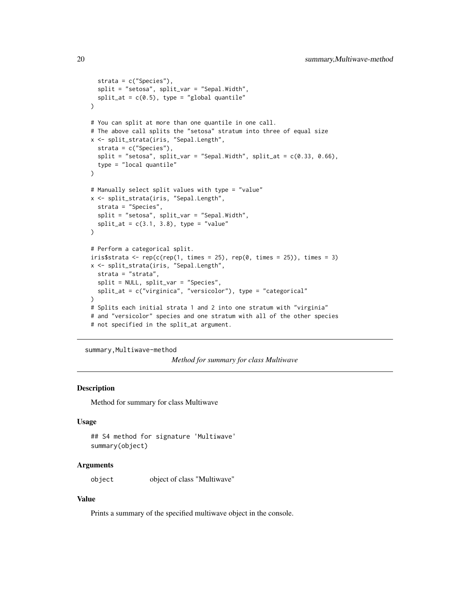```
strata = c("Species"),
  split = "setosa", split_var = "Sepal.Width",
  split_at = c(0.5), type = "global quantile"
)
# You can split at more than one quantile in one call.
# The above call splits the "setosa" stratum into three of equal size
x <- split_strata(iris, "Sepal.Length",
  strata = c("Species"),
  split = "setosa", split\_var = "Sepal.Width", split_at = c(0.33, 0.66),type = "local quantile"
\lambda# Manually select split values with type = "value"
x <- split_strata(iris, "Sepal.Length",
  strata = "Species",
  split = "setosa", split_var = "Sepal.Width",
  split_at = c(3.1, 3.8), type = "value")
# Perform a categorical split.
iris$strata <- rep(c(rep(1, times = 25), rep(0, times = 25)), times = 3)
x <- split_strata(iris, "Sepal.Length",
  strata = "strata",
  split = NULL, split_var = "Species",
  split_at = c("virginica", "versicolor"), type = "categorical"
)
# Splits each initial strata 1 and 2 into one stratum with "virginia"
# and "versicolor" species and one stratum with all of the other species
# not specified in the split_at argument.
```

```
summary, Multiwave-method
```
*Method for summary for class Multiwave*

# Description

Method for summary for class Multiwave

#### Usage

```
## S4 method for signature 'Multiwave'
summary(object)
```
#### Arguments

object object of class "Multiwave"

#### Value

Prints a summary of the specified multiwave object in the console.

<span id="page-19-0"></span>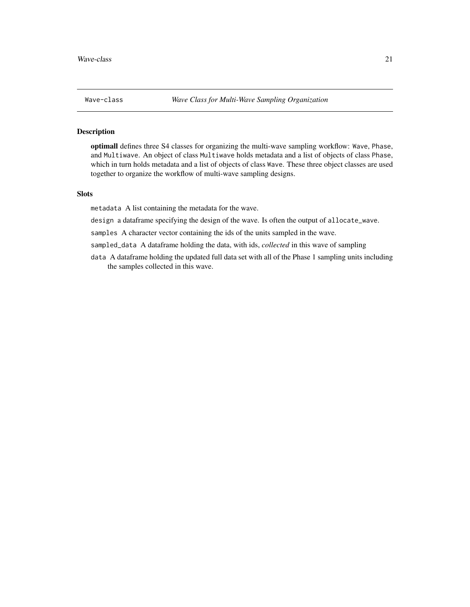<span id="page-20-0"></span>

optimall defines three S4 classes for organizing the multi-wave sampling workflow: Wave, Phase, and Multiwave. An object of class Multiwave holds metadata and a list of objects of class Phase, which in turn holds metadata and a list of objects of class Wave. These three object classes are used together to organize the workflow of multi-wave sampling designs.

### Slots

metadata A list containing the metadata for the wave.

design a dataframe specifying the design of the wave. Is often the output of allocate\_wave.

samples A character vector containing the ids of the units sampled in the wave.

sampled\_data A dataframe holding the data, with ids, *collected* in this wave of sampling

data A dataframe holding the updated full data set with all of the Phase 1 sampling units including the samples collected in this wave.